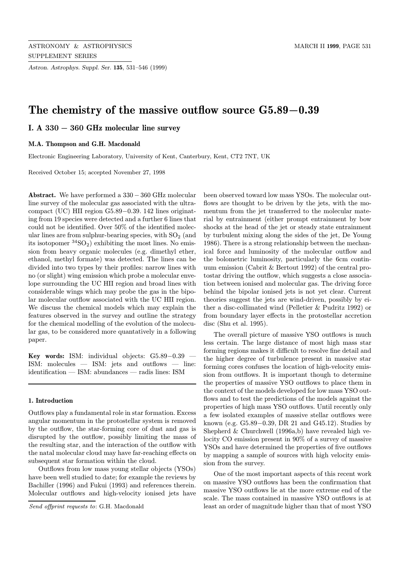Astron. Astrophys. Suppl. Ser. 135, 531–546 (1999)

# The chemistry of the massive outflow source G5.89−0.39

I. A 330 − 360 GHz molecular line survey

#### M.A. Thompson and G.H. Macdonald

Electronic Engineering Laboratory, University of Kent, Canterbury, Kent, CT2 7NT, UK

Received October 15; accepted November 27, 1998

Abstract. We have performed a 330 − 360 GHz molecular line survey of the molecular gas associated with the ultracompact (UC) HII region G5.89−0.39. 142 lines originating from 19 species were detected and a further 6 lines that could not be identified. Over 50% of the identified molecular lines are from sulphur-bearing species, with  $SO<sub>2</sub>$  (and its isotopomer  ${}^{34}SO_2$ ) exhibiting the most lines. No emission from heavy organic molecules (e.g. dimethyl ether, ethanol, methyl formate) was detected. The lines can be divided into two types by their profiles: narrow lines with no (or slight) wing emission which probe a molecular envelope surrounding the UC HII region and broad lines with considerable wings which may probe the gas in the bipolar molecular outflow associated with the UC HII region. We discuss the chemical models which may explain the features observed in the survey and outline the strategy for the chemical modelling of the evolution of the molecular gas, to be considered more quantatively in a following paper.

Key words: ISM: individual objects: G5.89−0.39 — ISM: molecules — ISM: jets and outflows — line: identification — ISM: abundances — radis lines: ISM

#### 1. Introduction

Outflows play a fundamental role in star formation. Excess angular momentum in the protostellar system is removed by the outflow, the star-forming core of dust and gas is disrupted by the outflow, possibly limiting the mass of the resulting star, and the interaction of the outflow with the natal molecular cloud may have far-reaching effects on subsequent star formation within the cloud.

Outflows from low mass young stellar objects (YSOs) have been well studied to date; for example the reviews by Bachiller (1996) and Fukui (1993) and references therein. Molecular outflows and high-velocity ionised jets have been observed toward low mass YSOs. The molecular outflows are thought to be driven by the jets, with the momentum from the jet transferred to the molecular material by entrainment (either prompt entrainment by bow shocks at the head of the jet or steady state entrainment by turbulent mixing along the sides of the jet, De Young 1986). There is a strong relationship between the mechanical force and luminosity of the molecular outflow and the bolometric luminosity, particularly the 6cm continuum emission (Cabrit & Bertout 1992) of the central protostar driving the outflow, which suggests a close association between ionised and molecular gas. The driving force behind the bipolar ionised jets is not yet clear. Current theories suggest the jets are wind-driven, possibly by either a disc-collimated wind (Pelletier & Pudritz 1992) or from boundary layer effects in the protostellar accretion disc (Shu et al. 1995).

The overall picture of massive YSO outflows is much less certain. The large distance of most high mass star forming regions makes it difficult to resolve fine detail and the higher degree of turbulence present in massive star forming cores confuses the location of high-velocity emission from outflows. It is important though to determine the properties of massive YSO outflows to place them in the context of the models developed for low mass YSO outflows and to test the predictions of the models against the properties of high mass YSO outflows. Until recently only a few isolated examples of massive stellar outflows were known (e.g. G5.89−0.39, DR 21 and G45.12). Studies by Shepherd & Churchwell (1996a,b) have revealed high velocity CO emission present in 90% of a survey of massive YSOs and have determined the properties of five outflows by mapping a sample of sources with high velocity emission from the survey.

One of the most important aspects of this recent work on massive YSO outflows has been the confirmation that massive YSO outflows lie at the more extreme end of the scale. The mass contained in massive YSO outflows is at least an order of magnitude higher than that of most YSO

Send offprint requests to: G.H. Macdonald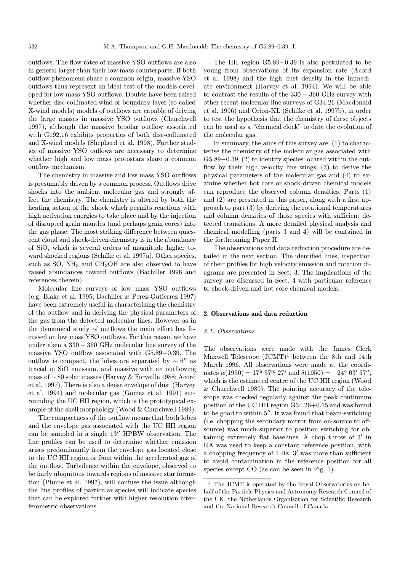outflows. The flow rates of massive YSO outflows are also in general larger than their low mass counterparts. If both outflow phenomena share a common origin, massive YSO outflows thus represent an ideal test of the models developed for low mass YSO outflows. Doubts have been raised whether disc-collimated wind or boundary-layer (so-called X-wind models) models of outflows are capable of driving the large masses in massive YSO outflows (Churchwell 1997), although the massive bipolar outflow associated with G192.16 exhibits properties of both disc-collimated and X-wind models (Shepherd et al. 1998). Further studies of massive YSO ouflows are necessary to determine whether high and low mass protostars share a common outflow mechanism.

The chemistry in massive and low mass YSO outflows is presumably driven by a common process. Outflows drive shocks into the ambient molecular gas and strongly affect the chemistry. The chemistry is altered by both the heating action of the shock which permits reactions with high activation energies to take place and by the injection of disrupted grain mantles (and perhaps grain cores) into the gas phase. The most striking difference between quiescent cloud and shock-driven chemistry is in the abundance of SiO, which is several orders of magnitude higher toward shocked regions (Schilke et al. 1997a). Other species, such as SO,  $NH_3$  and  $CH_3OH$  are also observed to have raised abundances toward outflows (Bachiller 1996 and references therein).

Molecular line surveys of low mass YSO outflows (e.g. Blake et al. 1995; Bachiller & Perez-Gutierrez 1997) have been extremely useful in characterising the chemistry of the outflow and in deriving the physical parameters of the gas from the detected molecular lines. However as in the dynamical study of outflows the main effort has focussed on low mass YSO outflows. For this reason we have undertaken a 330 − 360 GHz molecular line survey of the massive YSO outflow associated with G5.89−0.39. The outflow is compact, the lobes are separated by  $\sim 6''$  as traced in SiO emission, and massive with an outflowing mass of ∼80 solar masses (Harvey & Forveille 1988; Acord et al. 1997). There is also a dense envelope of dust (Harvey et al. 1994) and molecular gas (Gomez et al. 1991) surrounding the UC HII region, which is the prototypical example of the shell morphology (Wood & Churchwell 1989).

The compactness of the outflow means that both lobes and the envelope gas associated with the UC HII region can be sampled in a single  $13''$  HPBW observation. The line profiles can be used to determine whether emission arises predominantly from the envelope gas located close to the UC HII region or from within the accelerated gas of the outflow. Turbulence within the envelope, observed to be fairly ubiquitous towards regions of massive star formation (Plume et al. 1997), will confuse the issue although the line profiles of particular species will indicate species that can be explored further with higher resolution interferometric observations.

The HII region G5.89−0.39 is also postulated to be young from observations of its expansion rate (Acord et al. 1998) and the high dust density in the immediate environment (Harvey et al. 1994). We will be able to contrast the results of the 330 − 360 GHz survey with other recent molecular line surveys of G34.26 (Macdonald et al. 1996) and Orion-KL (Schilke et al. 1997b), in order to test the hypothesis that the chemistry of these objects can be used as a "chemical clock" to date the evolution of the molecular gas.

In summary, the aims of this survey are: (1) to characterise the chemistry of the molecular gas associated with G5.89−0.39, (2) to identify species located within the outflow by their high velocity line wings, (3) to derive the physical parameters of the molecular gas and (4) to examine whether hot core or shock-driven chemical models can reproduce the observed column densities. Parts (1) and (2) are presented in this paper, along with a first approach to part (3) by deriving the rotational temperatures and column densities of those species with sufficient detected transitions. A more detailed physical analysis and chemical modelling (parts 3 and 4) will be contained in the forthcoming Paper II.

The observations and data reduction procedure are detailed in the next section. The identified lines, inspection of their profiles for high velocity emission and rotation diagrams are presented in Sect. 3. The implications of the survey are discussed in Sect. 4 with particular reference to shock-driven and hot core chemical models.

# 2. Observations and data reduction

#### 2.1. Observations

The observations were made with the James Clerk Maxwell Telescope  $(JCMT)^1$  between the 8th and 14th March 1996. All observations were made at the coordinates  $\alpha(1950) = 17^{\rm h} 57^{\rm m} 27^{\rm s}$  and  $\delta(1950) = -24^{\circ} 03' 57''$ . which is the estimated centre of the UC HII region (Wood & Churchwell 1989). The pointing accuracy of the telescope was checked regularly against the peak continuum position of the UC HII region G34.26+0.15 and was found to be good to within  $5$ ". It was found that beam-switching (i.e. chopping the secondary mirror from on-source to offsource) was much superior to position switching for obtaining extremely flat baselines. A chop throw of  $3'$  in RA was used to keep a constant reference position, with a chopping frequency of  $1$  Hz.  $3'$  was more than sufficient to avoid contamination in the reference position for all species except CO (as can be seen in Fig. 1).

 $^{\mathrm{1}}\,$  The JCMT is operated by the Royal Observatories on behalf of the Particle Physics and Astronomy Research Council of the UK, the Netherlands Organisation for Scientific Research and the National Research Council of Canada.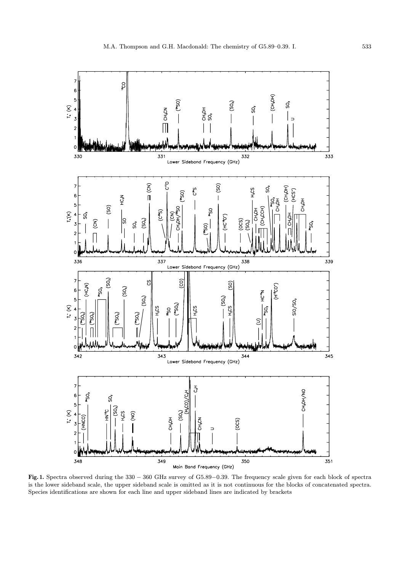

Fig. 1. Spectra observed during the 330 − 360 GHz survey of G5.89−0.39. The frequency scale given for each block of spectra is the lower sideband scale, the upper sideband scale is omitted as it is not continuous for the blocks of concatenated spectra. Species identifications are shown for each line and upper sideband lines are indicated by brackets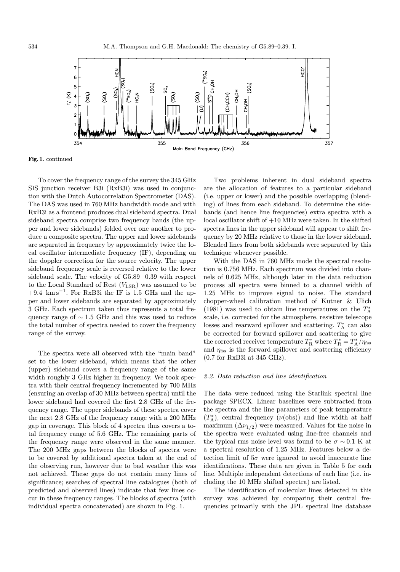

Fig. 1. continued

To cover the frequency range of the survey the 345 GHz SIS junction receiver B3i (RxB3i) was used in conjunction with the Dutch Autocorrelation Spectrometer (DAS). The DAS was used in 760 MHz bandwidth mode and with RxB3i as a frontend produces dual sideband spectra. Dual sideband spectra comprise two frequency bands (the upper and lower sidebands) folded over one another to produce a composite spectra. The upper and lower sidebands are separated in frequency by approximately twice the local oscillator intermediate frequency (IF), depending on the doppler correction for the source velocity. The upper sideband frequency scale is reversed relative to the lower sideband scale. The velocity of G5.89−0.39 with respect to the Local Standard of Rest  $(V_{\text{LSR}})$  was assumed to be  $+9.4$  km s<sup>-1</sup>. For RxB3i the IF is 1.5 GHz and the upper and lower sidebands are separated by approximately 3 GHz. Each spectrum taken thus represents a total frequency range of ∼ 1.5 GHz and this was used to reduce the total number of spectra needed to cover the frequency range of the survey.

The spectra were all observed with the "main band" set to the lower sideband, which means that the other (upper) sideband covers a frequency range of the same width roughly 3 GHz higher in frequency. We took spectra with their central frequency incremented by 700 MHz (ensuring an overlap of 30 MHz between spectra) until the lower sideband had covered the first 2.8 GHz of the frequency range. The upper sidebands of these spectra cover the next 2.8 GHz of the frequency range with a 200 MHz gap in coverage. This block of 4 spectra thus covers a total frequency range of 5.6 GHz. The remaining parts of the frequency range were observed in the same manner. The 200 MHz gaps between the blocks of spectra were to be covered by additional spectra taken at the end of the observing run, however due to bad weather this was not achieved. These gaps do not contain many lines of significance; searches of spectral line catalogues (both of predicted and observed lines) indicate that few lines occur in these frequency ranges. The blocks of spectra (with individual spectra concatenated) are shown in Fig. 1.

Two problems inherent in dual sideband spectra are the allocation of features to a particular sideband (i.e. upper or lower) and the possible overlapping (blending) of lines from each sideband. To determine the sidebands (and hence line frequencies) extra spectra with a local oscillator shift of +10 MHz were taken. In the shifted spectra lines in the upper sideband will appear to shift frequency by 20 MHz relative to those in the lower sideband. Blended lines from both sidebands were separated by this technique whenever possible.

With the DAS in 760 MHz mode the spectral resolution is 0.756 MHz. Each spectrum was divided into channels of 0.625 MHz, although later in the data reduction process all spectra were binned to a channel width of 1.25 MHz to improve signal to noise. The standard chopper-wheel calibration method of Kutner & Ulich (1981) was used to obtain line temperatures on the  $T_{\rm A}^*$ scale, i.e. corrected for the atmosphere, resistive telescope losses and rearward spillover and scattering.  $T_{\rm A}^*$  can also be corrected for forward spillover and scattering to give the corrected receiver temperature  $T^*_{\rm R}$  where  $T^*_{\rm R}=T^*_{\rm A}/\eta_{\rm fss}$ and  $\eta_{\mathrm{fss}}$  is the forward spillover and scattering efficiency (0.7 for RxB3i at 345 GHz).

## 2.2. Data reduction and line identification

The data were reduced using the Starlink spectral line package SPECX. Linear baselines were subtracted from the spectra and the line parameters of peak temperature  $(T_A^*)$ , central frequency  $(\nu(\text{obs}))$  and line width at half maximum  $(\Delta \nu_{1/2})$  were measured. Values for the noise in the spectra were evaluated using line-free channels and the typical rms noise level was found to be  $\sigma \sim 0.1 \text{ K}$  at a spectral resolution of 1.25 MHz. Features below a detection limit of  $5\sigma$  were ignored to avoid inaccurate line identifications. These data are given in Table 5 for each line. Multiple independent detections of each line (i.e. including the 10 MHz shifted spectra) are listed.

The identification of molecular lines detected in this survey was achieved by comparing their central frequencies primarily with the JPL spectral line database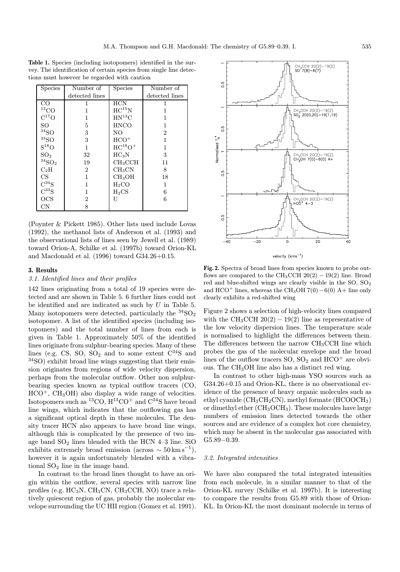Table 1. Species (including isotopomers) identified in the survey. The identification of certain species from single line detections must however be regarded with caution

| <b>Species</b>              | Number of      | <b>Species</b>      | Number of      |
|-----------------------------|----------------|---------------------|----------------|
|                             | detected lines |                     | detected lines |
| CO.                         |                | <b>HCN</b>          |                |
| $^{13}\mathrm{CO}$          | 1              | $HC^{15}N$          |                |
| $C^{17}O$                   | 1              | $HN^{13}C$          | 1              |
| SO.                         | 5              | <b>HNCO</b>         | 1              |
| $\rm ^{34}SO$               | 3              | N <sub>O</sub>      | $\overline{2}$ |
| $\rm ^{33}SO$               | 3              | $HCO+$              | 1              |
| $S^{18}O$                   | 1              | $HC^{18}O+$         | 1              |
| SO <sub>2</sub>             | $32\,$         | $HC_3N$             | 3              |
| $\rm ^{34}SO_2$             | 19             | CH <sub>3</sub> CCH | 11             |
| $C_2H$                      | $\overline{2}$ | CH <sub>3</sub> CN  | 8              |
| CS                          | 1              | CH <sub>3</sub> OH  | 18             |
| $\mathrm{C}^{34}\mathrm{S}$ | 1              | $H_2CO$             | $\mathbf{1}$   |
| $C^{33}S$                   | 1              | $H_2CS$             | 6              |
| OCS                         | 2              | U                   | 6              |
| CN                          | 8              |                     |                |

(Poynter & Pickett 1985). Other lists used include Lovas (1992), the methanol lists of Anderson et al. (1993) and the observational lists of lines seen by Jewell et al. (1989) toward Orion-A, Schilke et al. (1997b) toward Orion-KL and Macdonald et al. (1996) toward G34.26+0.15.

#### 3. Results

## 3.1. Identified lines and their profiles

142 lines originating from a total of 19 species were detected and are shown in Table 5. 6 further lines could not be identified and are indicated as such by U in Table 5. Many isotopomers were detected, particularly the  ${}^{34}SO_2$ isotopomer. A list of the identified species (including isotopomers) and the total number of lines from each is given in Table 1. Approximately 50% of the identified lines originate from sulphur-bearing species. Many of these lines (e.g. CS, SO,  $SO_2$  and to some extent  $C^{34}S$  and <sup>34</sup>SO) exhibit broad line wings suggesting that their emission originates from regions of wide velocity dispersion, perhaps from the molecular outflow. Other non sulphurbearing species known as typical outflow tracers (CO,  $HCO<sup>+</sup>$ , CH<sub>3</sub>OH) also display a wide range of velocities. Isotopomers such as  ${}^{13}CO$ ,  $H{}^{13}CO<sup>+</sup>$  and  $C{}^{34}S$  have broad line wings, which indicates that the outflowing gas has a significant optical depth in these molecules. The density tracer HCN also appears to have broad line wings, although this is complicated by the presence of two image band  $SO_2$  lines blended with the HCN 4–3 line. SiO exhibits extremely broad emission (across  $\sim 50 \,\mathrm{km \,s}^{-1}$ ), however it is again unfortunately blended with a vibrational  $SO<sub>2</sub>$  line in the image band.

In contrast to the broad lines thought to have an origin within the outflow, several species with narrow line profiles (e.g. HC3N, CH3CN, CH3CCH, NO) trace a relatively quiescent region of gas, probably the molecular envelope surrounding the UC HII region (Gomez et al. 1991).



Fig. 2. Spectra of broad lines from species known to probe outflows are compared to the CH<sub>3</sub>CCH  $20(2) - 19(2)$  line. Broad red and blue-shifted wings are clearly visible in the SO, SO<sup>2</sup> and HCO<sup>+</sup> lines, whereas the CH<sub>3</sub>OH 7(0) – 6(0) A+ line only clearly exhibits a red-shifted wing

Figure 2 shows a selection of high-velocity lines compared with the CH<sub>3</sub>CCH 20(2) – 19(2) line as representative of the low velocity dispersion lines. The temperature scale is normalised to highlight the differences between them. The differences between the narrow  $CH<sub>3</sub>CCH$  line which probes the gas of the molecular envelope and the broad lines of the outflow tracers  $SO$ ,  $SO_2$  and  $HCO<sup>+</sup>$  are obvious. The CH3OH line also has a distinct red wing.

In contrast to other high-mass YSO sources such as G34.26+0.15 and Orion-KL, there is no observational evidence of the presence of heavy organic molecules such as ethyl cyanide ( $CH_3CH_2CN$ ), methyl formate (HCOOCH<sub>3</sub>) or dimethyl ether  $(CH_3OCH_3)$ . These molecules have large numbers of emission lines detected towards the other sources and are evidence of a complex hot core chemistry, which may be absent in the molecular gas associated with G5.89−0.39.

### 3.2. Integrated intensities

We have also compared the total integrated intensities from each molecule, in a similar manner to that of the Orion-KL survey (Schilke et al. 1997b). It is interesting to compare the results from G5.89 with those of Orion-KL. In Orion-KL the most dominant molecule in terms of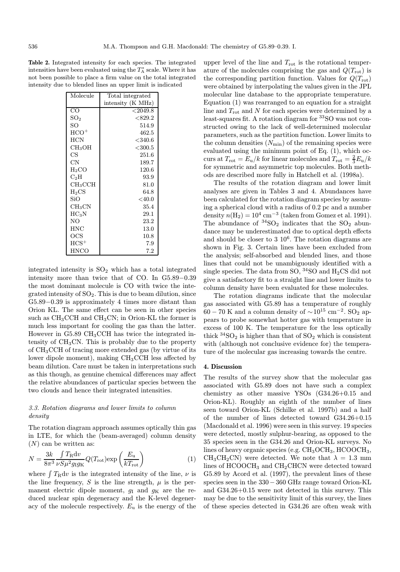Table 2. Integrated intensity for each species. The integrated intensities have been evaluated using the  $T_A^*$  scale. Where it has not been possible to place a firm value on the total integrated intensity due to blended lines an upper limit is indicated

| Molecule            | Total integrated  |
|---------------------|-------------------|
|                     | intensity (K MHz) |
| CO                  | $<$ 2049.8        |
| SO <sub>2</sub>     | $<$ 829.2         |
| SО                  | 514.9             |
| $\rm{HCO^+}$        | 462.5             |
| <b>HCN</b>          | $<$ 340.6         |
| CH <sub>3</sub> OH  | $<$ 300.5         |
| CS                  | 251.6             |
| CN                  | 189.7             |
| H2CO                | 120.6             |
| $\mathrm{C_2H}$     | 93.9              |
| CH <sub>3</sub> CCH | 81.0              |
| $_{\rm H_2CS}$      | 64.8              |
| SiO.                | $<$ 40.0          |
| CH <sub>3</sub> CN  | 35.4              |
| $HC_3N$             | 29.1              |
| NO.                 | 23.2              |
| HNC                 | 13.0              |
| OCS                 | 10.8              |
| $HCS^+$             | 7.9               |
| HNCO                | 7.2               |

integrated intensity is  $SO<sub>2</sub>$  which has a total integrated intensity more than twice that of CO. In G5.89−0.39 the most dominant molecule is CO with twice the integrated intensity of  $SO_2$ . This is due to beam dilution, since G5.89−0.39 is approximately 4 times more distant than Orion KL. The same effect can be seen in other species such as  $CH_3CCH$  and  $CH_3CN$ ; in Orion-KL the former is much less important for cooling the gas than the latter. However in G5.89 CH3CCH has twice the integrated intensity of CH3CN. This is probably due to the property of CH3CCH of tracing more extended gas (by virtue of its lower dipole moment), making CH3CCH less affected by beam dilution. Care must be taken in interpretations such as this though, as genuine chemical differences may affect the relative abundances of particular species between the two clouds and hence their integrated intensities.

# 3.3. Rotation diagrams and lower limits to column density

The rotation diagram approach assumes optically thin gas in LTE, for which the (beam-averaged) column density  $(N)$  can be written as:

$$
N = \frac{3k}{8\pi^3} \frac{\int T_{\rm R} dv}{\nu S \mu^2 g_{\rm I} g_{\rm K}} Q(T_{\rm rot}) \exp\left(\frac{E_{\rm u}}{k T_{\rm rot}}\right) \tag{1}
$$

where  $TRdv$  is the integrated intensity of the line,  $\nu$  is the line frequency, S is the line strength,  $\mu$  is the permanent electric dipole moment,  $g_I$  and  $g_K$  are the reduced nuclear spin degeneracy and the K-level degeneracy of the molecule respectively.  $E_u$  is the energy of the

upper level of the line and  $T_{\text{rot}}$  is the rotational temperature of the molecules comprising the gas and  $Q(T_{\text{rot}})$  is the corresponding partition function. Values for  $Q(T_{\text{rot}})$ were obtained by interpolating the values given in the JPL molecular line database to the appropriate temperature. Equation (1) was rearranged to an equation for a straight line and  $T_{\text{rot}}$  and  $N$  for each species were determined by a least-squares fit. A rotation diagram for <sup>33</sup>SO was not constructed owing to the lack of well-determined molecular parameters, such as the partition function. Lower limits to the column densities  $(N_{\min})$  of the remaining species were evaluated using the minimum point of Eq. (1), which occurs at  $T_{\text{rot}} = E_{\text{u}}/k$  for linear molecules and  $T_{\text{rot}} = \frac{2}{3}E_{\text{u}}/k$ for symmetric and asymmetric top molecules. Both methods are described more fully in Hatchell et al. (1998a).

The results of the rotation diagram and lower limit analyses are given in Tables 3 and 4. Abundances have been calculated for the rotation diagram species by assuming a spherical cloud with a radius of 0.2 pc and a number density  $n(H_2) = 10^4$  cm<sup>-3</sup> (taken from Gomez et al. 1991). The abundance of  ${}^{34}SO_2$  indicates that the  $SO_2$  abundance may be underestimated due to optical depth effects and should be closer to  $3 \times 10^6$ . The rotation diagrams are shown in Fig. 3. Certain lines have been excluded from the analysis; self-absorbed and blended lines, and those lines that could not be unambiguously identified with a single species. The data from SO,  $34$ SO and H<sub>2</sub>CS did not give a satisfactory fit to a straight line and lower limits to column density have been evaluated for these molecules.

The rotation diagrams indicate that the molecular gas associated with G5.89 has a temperature of roughly  $60 - 70$  K and a column density of  $\sim 10^{15}$  cm<sup>-2</sup>. SO<sub>2</sub> appears to probe somewhat hotter gas with temperature in excess of 100 K. The temperature for the less optically thick  ${}^{34}SO_2$  is higher than that of  $SO_2$  which is consistent with (although not conclusive evidence for) the temperature of the molecular gas increasing towards the centre.

### 4. Discussion

The results of the survey show that the molecular gas associated with G5.89 does not have such a complex chemistry as other massive YSOs (G34.26+0.15 and Orion-KL). Roughly an eighth of the number of lines seen toward Orion-KL (Schilke et al. 1997b) and a half of the number of lines detected toward G34.26+0.15 (Macdonald et al. 1996) were seen in this survey. 19 species were detected, mostly sulphur-bearing, as opposed to the 35 species seen in the G34.26 and Orion-KL surveys. No lines of heavy organic species (e.g.  $CH_3OCH_3$ ,  $HCOOCH_3$ ,  $CH_3CH_2CN$ ) were detected. We note that  $\lambda = 1.3$  mm lines of  $HCOOCH<sub>3</sub>$  and  $CH<sub>2</sub>CHCN$  were detected toward G5.89 by Acord et al. (1997), the prevalent lines of these species seen in the 330−360 GHz range toward Orion-KL and G34.26+0.15 were not detected in this survey. This may be due to the sensitivity limit of this survey, the lines of these species detected in G34.26 are often weak with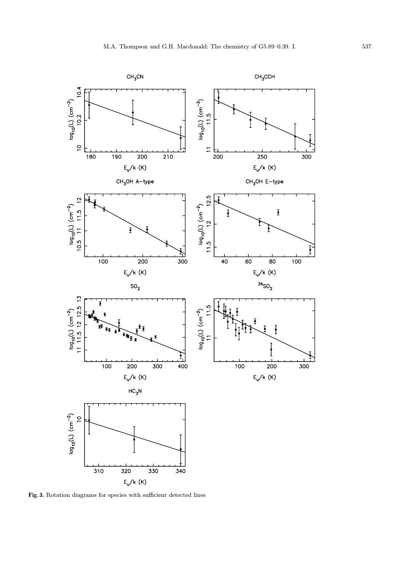

Fig. 3. Rotation diagrams for species with sufficient detected lines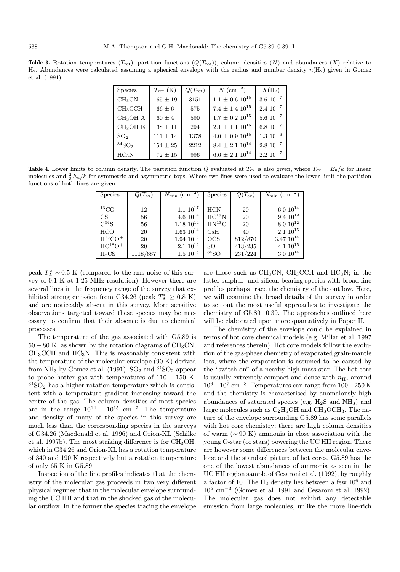**Table 3.** Rotation temperatures  $(T_{\text{rot}})$ , partition functions  $(Q(T_{\text{rot}}))$ , column densities  $(N)$  and abundances  $(X)$  relative to  $H_2$ . Abundances were calculated assuming a spherical envelope with the radius and number density  $n(H_2)$  given in Gomez et al. (1991)

| <b>Species</b>       | $T_{\rm rot}$ (K) | $Q(T_{\rm rot})$ | $N~(\text{cm}^{-2})$       | $X(H_2)$         |
|----------------------|-------------------|------------------|----------------------------|------------------|
| CH <sub>3</sub> CN   | $65 \pm 19$       | 3151             | $1.1 \pm 0.6 \; 10^{15}$   | $3.6~10^{-7}$    |
| CH <sub>3</sub> CCH  | $66 \pm 6$        | 575              | $7.4 \pm 1.4$ $10^{15}$    | $2.4~10^{-7}$    |
| CH <sub>3</sub> OH A | $60 \pm 4$        | 590              | $1.7\,\pm\,0.2\,\,10^{15}$ | $5.6~10^{-7}$    |
| $CH3OH$ E            | $38 \pm 11$       | 294              | $2.1\,\pm\,1.1\,\,10^{15}$ | $6.8~10^{-7}$    |
| SO <sub>2</sub>      | $111 \pm 14$      | 1378             | $4.0 \pm 0.9$ $10^{15}$    | $1.3 \ 10^{-6}$  |
| $34$ SO <sub>2</sub> | $154 \pm 25$      | 2212             | $8.4\,\pm\,2.1\,\,10^{14}$ | $2.8 \, 10^{-7}$ |
| HC <sub>3</sub> N    | $72 \pm 15$       | 996              | $6.6 \pm 2.1$ $10^{14}$    | $2.2 10^{-7}$    |

**Table 4.** Lower limits to column density. The partition function Q evaluated at  $T_{ex}$  is also given, where  $T_{ex} = E_u/k$  for linear molecules and  $\frac{2}{3}E_u/k$  for symmetric and asymmetric tops. Where two lines were used to evaluate the lower limit the partition functions of both lines are given

| <b>Species</b>      | $Q(T_{\rm ex})$ | $N_{\rm min}$<br>$\rm \ (cm^{-}$ | <b>Species</b>   | $Q(T_{\rm ex})$ | $N_{\rm min}~(\rm cm^{-1}$ |
|---------------------|-----------------|----------------------------------|------------------|-----------------|----------------------------|
|                     |                 |                                  |                  |                 |                            |
| ${}^{13}CO$         | 12              | $1.1~10^{17}$                    | <b>HCN</b>       | 20              | $6.0 10^{14}$              |
| CS                  | 56              | $4.6 10^{14}$                    | $HC^{15}N$       | 20              | $9.4~10^{12}$              |
| $C^{34}S$           | 56              | $1.18 \; 10^{14}$                | $HN^{13}C$       | 20              | $8.0 10^{12}$              |
| $HCO+$              | 20              | $1.63 \; 10^{14}$                | $C_2H$           | 40              | $2.1~10^{15}$              |
| $H^{13}CO+$         | 20              | $1.94 \; 10^{13}$                | OCS              | 812/870         | $3.47~10^{14}$             |
| $HC^{18}O^+$        | 20              | $2.1~10^{12}$                    | SO               | 413/235         | $4.1~10^{15}$              |
| $_{\mathrm{H_2CS}}$ | 1118/687        | $1.5\;10^{15}$                   | 34 <sub>SO</sub> | 231/224         | $3.0 10^{14}$              |

peak  $T_{\rm A}^* \sim 0.5$  K (compared to the rms noise of this survey of 0.1 K at 1.25 MHz resolution). However there are several lines in the frequency range of the survey that exhibited strong emission from G34.26 (peak  $T_{\rm A}^* \geq 0.8$  K) and are noticeably absent in this survey. More sensitive observations targeted toward these species may be necessary to confirm that their absence is due to chemical processes.

The temperature of the gas associated with G5.89 is  $60 - 80$  K, as shown by the rotation diagrams of CH<sub>3</sub>CN,  $CH<sub>3</sub>CCH$  and  $HC<sub>3</sub>N$ . This is reasonably consistent with the temperature of the molecular envelope (90 K) derived from NH<sub>3</sub> by Gomez et al. (1991). SO<sub>2</sub> and  ${}^{34}SO_2$  appear to probe hotter gas with temperatures of  $110 - 150$  K.  $34$ SO<sub>2</sub> has a higher rotation temperature which is consistent with a temperature gradient increasing toward the centre of the gas. The column densities of most species are in the range  $10^{14} - 10^{15}$  cm<sup>-2</sup>. The temperature and density of many of the species in this survey are much less than the corresponding species in the surveys of G34.26 (Macdonald et al. 1996) and Orion-KL (Schilke et al. 1997b). The most striking difference is for  $CH<sub>3</sub>OH$ , which in G34.26 and Orion-KL has a rotation temperature of 340 and 190 K respectively but a rotation temperature of only 65 K in G5.89.

Inspection of the line profiles indicates that the chemistry of the molecular gas proceeds in two very different physical regimes: that in the molecular envelope surrounding the UC HII and that in the shocked gas of the molecular outflow. In the former the species tracing the envelope are those such as  $CH<sub>3</sub>CN$ ,  $CH<sub>3</sub>CCH$  and  $HC<sub>3</sub>N$ ; in the latter sulphur- and silicon-bearing species with broad line profiles perhaps trace the chemistry of the outflow. Here, we will examine the broad details of the survey in order to set out the most useful approaches to investigate the chemistry of G5.89−0.39. The approaches outlined here will be elaborated upon more quantatively in Paper II.

The chemistry of the envelope could be explained in terms of hot core chemical models (e.g. Millar et al. 1997 and references therein). Hot core models follow the evolution of the gas-phase chemistry of evaporated grain-mantle ices, where the evaporation is assumed to be caused by the "switch-on" of a nearby high-mass star. The hot core is usually extremely compact and dense with  $n_{\text{H}_2}$  around  $10^6-10^7$  cm<sup>-3</sup>. Temperatures can range from  $100-250$  K and the chemistry is characterised by anomalously high abundances of saturated species (e.g.  $H_2S$  and  $NH_3$ ) and large molecules such as  $C_2H_5OH$  and  $CH_3OCH_3$ . The nature of the envelope surrounding G5.89 has some parallels with hot core chemistry; there are high column densities of warm (∼ 90 K) ammonia in close association with the young O-star (or stars) powering the UC HII region. There are however some differences between the molecular envelope and the standard picture of hot cores. G5.89 has the one of the lowest abundances of ammonia as seen in the UC HII region sample of Cesaroni et al. (1992), by roughly a factor of 10. The  $H_2$  density lies between a few  $10^4$  and 10<sup>6</sup> cm<sup>−</sup><sup>3</sup> (Gomez et al. 1991 and Cesaroni et al. 1992). The molecular gas does not exhibit any detectable emission from large molecules, unlike the more line-rich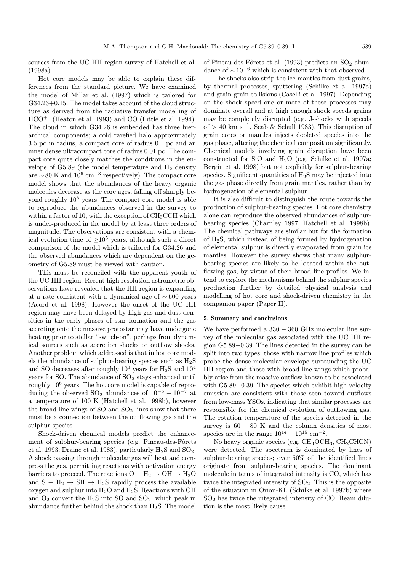sources from the UC HII region survey of Hatchell et al. (1998a).

Hot core models may be able to explain these differences from the standard picture. We have examined the model of Millar et al. (1997) which is tailored for G34.26+0.15. The model takes account of the cloud structure as derived from the radiative transfer modelling of HCO<sup>+</sup> (Heaton et al. 1993) and CO (Little et al. 1994). The cloud in which G34.26 is embedded has three hierarchical components; a cold rarefied halo approximately 3.5 pc in radius, a compact core of radius 0.1 pc and an inner dense ultracompact core of radius 0.01 pc. The compact core quite closely matches the conditions in the envelope of  $G5.89$  (the model temperature and  $H_2$  density are ∼80 K and  $10^6$  cm<sup>-3</sup> respectively). The compact core model shows that the abundances of the heavy organic molecules decrease as the core ages, falling off sharply beyond roughly  $10<sup>5</sup>$  years. The compact core model is able to reproduce the abundances observed in the survey to within a factor of 10, with the exception of CH<sub>3</sub>CCH which is under-produced in the model by at least three orders of magnitude. The observations are consistent with a chemical evolution time of  $>10^5$  years, although such a direct comparison of the model which is tailored for G34.26 and the observed abundances which are dependent on the geometry of G5.89 must be viewed with caution.

This must be reconciled with the apparent youth of the UC HII region. Recent high resolution astrometric observations have revealed that the HII region is expanding at a rate consistent with a dynamical age of ∼ 600 years (Acord et al. 1998). However the onset of the UC HII region may have been delayed by high gas and dust densities in the early phases of star formation and the gas accreting onto the massive protostar may have undergone heating prior to stellar "switch-on", perhaps from dynamical sources such as accretion shocks or outflow shocks. Another problem which addressed is that in hot core models the abundance of sulphur-bearing species such as  $H_2S$ and SO decreases after roughly  $10^3$  years for  $H_2S$  and  $10^4$ years for SO. The abundance of  $SO_2$  stays enhanced until roughly 10<sup>6</sup> years. The hot core model is capable of reproducing the observed  $SO_2$  abundances of  $10^{-6} - 10^{-7}$  at a temperature of 100 K (Hatchell et al. 1998b), however the broad line wings of  $SO$  and  $SO<sub>2</sub>$  lines show that there must be a connection between the outflowing gas and the sulphur species.

Shock-driven chemical models predict the enhancement of sulphur-bearing species (e.g. Pineau-des-Fôrets et al. 1993; Draine et al. 1983), particularly  $H_2S$  and  $SO_2$ . A shock passing through molecular gas will heat and compress the gas, permitting reactions with activation energy barriers to proceed. The reactions  $O + H_2 \rightarrow OH \rightarrow H_2O$ and  $S + H_2 \rightarrow SH \rightarrow H_2S$  rapidly process the available oxygen and sulphur into H2O and H2S. Reactions with OH and  $O_2$  convert the  $H_2S$  into SO and  $SO_2$ , which peak in abundance further behind the shock than  $H_2S$ . The model

of Pineau-des-Fôrets et al. (1993) predicts an  $SO_2$  abundance of  $\sim 10^{-6}$  which is consistent with that observed.

The shocks also strip the ice mantles from dust grains, by thermal processes, sputtering (Schilke et al. 1997a) and grain-grain collisions (Caselli et al. 1997). Depending on the shock speed one or more of these processes may dominate overall and at high enough shock speeds grains may be completely disrupted (e.g. J-shocks with speeds of > 40 km s<sup>-1</sup>, Seab & Schull 1983). This disruption of grain cores or mantles injects depleted species into the gas phase, altering the chemical composition significantly. Chemical models involving grain disruption have been constructed for SiO and H2O (e.g. Schilke et al. 1997a; Bergin et al. 1998) but not explicitly for sulphur-bearing species. Significant quantities of H2S may be injected into the gas phase directly from grain mantles, rather than by hydrogenation of elemental sulphur.

It is also difficult to distinguish the route towards the production of sulphur-bearing species. Hot core chemistry alone can reproduce the observed abundances of sulphurbearing species (Charnley 1997; Hatchell et al. 1998b). The chemical pathways are similar but for the formation of H2S, which instead of being formed by hydrogenation of elemental sulphur is directly evaporated from grain ice mantles. However the survey shows that many sulphurbearing species are likely to be located within the outflowing gas, by virtue of their broad line profiles. We intend to explore the mechanisms behind the sulphur species production further by detailed physical analysis and modelling of hot core and shock-driven chemistry in the companion paper (Paper II).

#### 5. Summary and conclusions

We have performed a  $330 - 360$  GHz molecular line survey of the molecular gas associated with the UC HII region G5.89−0.39. The lines detected in the survey can be split into two types; those with narrow line profiles which probe the dense molecular envelope surrounding the UC HII region and those with broad line wings which probably arise from the massive outflow known to be associated with G5.89−0.39. The species which exhibit high-velocity emission are consistent with those seen toward outflows from low-mass YSOs, indicating that similar processes are responsible for the chemical evolution of outflowing gas. The rotation temperature of the species detected in the survey is  $60 - 80$  K and the column densities of most species are in the range  $10^{14} - 10^{15}$  cm<sup>-2</sup>.

No heavy organic species (e.g. CH<sub>3</sub>OCH<sub>3</sub>, CH<sub>2</sub>CHCN) were detected. The spectrum is dominated by lines of sulphur-bearing species; over 50% of the identified lines originate from sulphur-bearing species. The dominant molecule in terms of integrated intensity is CO, which has twice the integrated intensity of  $SO_2$ . This is the opposite of the situation in Orion-KL (Schilke et al. 1997b) where SO<sup>2</sup> has twice the integrated intensity of CO. Beam dilution is the most likely cause.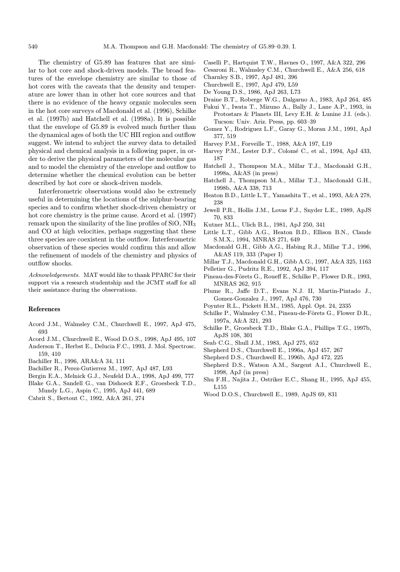The chemistry of G5.89 has features that are similar to hot core and shock-driven models. The broad features of the envelope chemistry are similar to those of hot cores with the caveats that the density and temperature are lower than in other hot core sources and that there is no evidence of the heavy organic molecules seen in the hot core surveys of Macdonald et al. (1996), Schilke et al. (1997b) and Hatchell et al. (1998a). It is possible that the envelope of G5.89 is evolved much further than the dynamical ages of both the UC HII region and outflow suggest. We intend to subject the survey data to detailed physical and chemical analysis in a following paper, in order to derive the physical parameters of the molecular gas and to model the chemistry of the envelope and outflow to determine whether the chemical evolution can be better described by hot core or shock-driven models.

Interferometric observations would also be extremely useful in determining the locations of the sulphur-bearing species and to confirm whether shock-driven chemistry or hot core chemistry is the prime cause. Acord et al. (1997) remark upon the similarity of the line profiles of SiO, NH<sup>3</sup> and CO at high velocities, perhaps suggesting that these three species are coexistent in the outflow. Interferometric observation of these species would confirm this and allow the refinement of models of the chemistry and physics of outflow shocks.

Acknowledgements. MAT would like to thank PPARC for their support via a research studentship and the JCMT staff for all their assistance during the observations.

#### References

- Acord J.M., Walmsley C.M., Churchwell E., 1997, ApJ 475, 693
- Acord J.M., Churchwell E., Wood D.O.S., 1998, ApJ 495, 107
- Anderson T., Herbst E., Delucia F.C., 1993, J. Mol. Spectrosc. 159, 410
- Bachiller R., 1996, ARA&A 34, 111
- Bachiller R., Perez-Gutierrez M., 1997, ApJ 487, L93
- Bergin E.A., Melnick G.J., Neufeld D.A., 1998, ApJ 499, 777 Blake G.A., Sandell G., van Dishoeck E.F., Groesbeck T.D.,
- Mundy L.G., Aspin C., 1995, ApJ 441, 689
- Cabrit S., Bertout C., 1992, A&A 261, 274
- Caselli P., Hartquist T.W., Havnes O., 1997, A&A 322, 296
- Cesaroni R., Walmsley C.M., Churchwell E., A&A 256, 618
- Charnley S.B., 1997, ApJ 481, 396
- Churchwell E., 1997, ApJ 479, L59
- De Young D.S., 1986, ApJ 263, L73
- Draine B.T., Roberge W.G., Dalgarno A., 1983, ApJ 264, 485
- Fukui Y., Iwata T., Mizuno A., Bally J., Lane A.P., 1993, in Protostars & Planets III, Levy E.H. & Lunine J.I. (eds.). Tucson: Univ. Ariz. Press, pp. 603–39
- Gomez Y., Rodriguez L.F., Garay G., Moran J.M., 1991, ApJ 377, 519
- Harvey P.M., Forveille T., 1988, A&A 197, L19
- Harvey P.M., Lester D.F., Colomé C., et al., 1994, ApJ 433, 187
- Hatchell J., Thompson M.A., Millar T.J., Macdonald G.H., 1998a, A&AS (in press)
- Hatchell J., Thompson M.A., Millar T.J., Macdonald G.H., 1998b, A&A 338, 713
- Heaton B.D., Little L.T., Yamashita T., et al., 1993, A&A 278, 238
- Jewell P.R., Hollis J.M., Lovas F.J., Snyder L.E., 1989, ApJS 70, 833
- Kutner M.L., Ulich B.L., 1981, ApJ 250, 341
- Little L.T., Gibb A.G., Heaton B.D., Ellison B.N., Claude S.M.X., 1994, MNRAS 271, 649
- Macdonald G.H., Gibb A.G., Habing R.J., Millar T.J., 1996, A&AS 119, 333 (Paper I)
- Millar T.J., Macdonald G.H., Gibb A.G., 1997, A&A 325, 1163
- Pelletier G., Pudritz R.E., 1992, ApJ 394, 117
- Pineau-des-Fôrets G., Roueff E., Schilke P., Flower D.R., 1993, MNRAS 262, 915
- Plume R., Jaffe D.T., Evans N.J. II, Martin-Pintado J., Gomez-Gonzalez J., 1997, ApJ 476, 730
- Poynter R.L., Pickett H.M., 1985, Appl. Opt. 24, 2335
- Schilke P., Walmsley C.M., Pineau-de-Fôrets G., Flower D.R., 1997a, A&A 321, 293
- Schilke P., Groesbeck T.D., Blake G.A., Phillips T.G., 1997b, ApJS 108, 301
- Seab C.G., Shull J.M., 1983, ApJ 275, 652
- Shepherd D.S., Churchwell E., 1996a, ApJ 457, 267
- Shepherd D.S., Churchwell E., 1996b, ApJ 472, 225
- Shepherd D.S., Watson A.M., Sargent A.I., Churchwell E., 1998, ApJ (in press)
- Shu F.H., Najita J., Ostriker E.C., Shang H., 1995, ApJ 455, L155
- Wood D.O.S., Churchwell E., 1989, ApJS 69, 831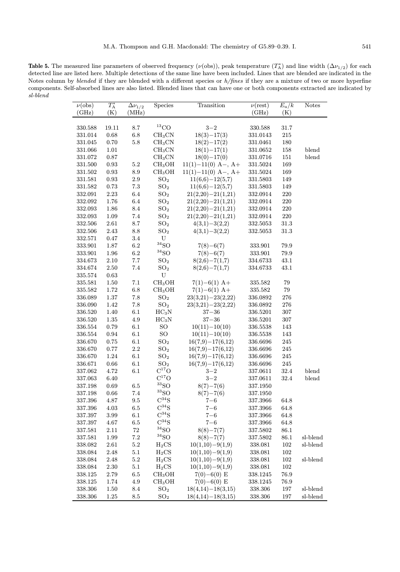**Table 5.** The measured line parameters of observed frequency  $(\nu(\text{obs}))$ , peak temperature  $(T_A^*)$  and line width  $(\Delta \nu_{1/2})$  for each detected line are listed here. Multiple detections of the same line have been included. Lines that are blended are indicated in the Notes column by blended if they are blended with a different species or h/fines if they are a mixture of two or more hyperfine components. Self-absorbed lines are also listed. Blended lines that can have one or both components extracted are indicated by sl-blend

| $\nu(\text{obs})$  | $T_{\rm A}^*$ |                            | Species                     | Transition            | $\nu(\text{rest})$ | $E_{\rm u}/k$   | <b>Notes</b>   |
|--------------------|---------------|----------------------------|-----------------------------|-----------------------|--------------------|-----------------|----------------|
| (GHz)              | (K)           | $\Delta\nu_{1/2}$<br>(MHz) |                             |                       | (GHz)              | (K)             |                |
|                    |               |                            |                             |                       |                    |                 |                |
|                    | 19.11         | 8.7                        | $\rm ^{13}CO$               | $3 - 2$               | 330.588            |                 |                |
| 330.588<br>331.014 | $0.68\,$      | $6.8\,$                    | CH <sub>3</sub> CN          | $18(3)-17(3)$         | 331.0143           | 31.7<br>$215\,$ |                |
|                    | 0.70          | $5.8\,$                    | $\rm CH_3CN$                | $18(2)-17(2)$         |                    |                 |                |
| 331.045            |               |                            |                             |                       | 331.0461           | 180             |                |
| 331.066            | 1.01          |                            | CH <sub>3</sub> CN          | $18(1)-17(1)$         | 331.0652           | $158\,$         | blend          |
| 331.072            | 0.87          |                            | CH <sub>3</sub> CN          | $18(0)-17(0)$         | $331.0716\,$       | 151             | $_{\rm blend}$ |
| 331.500            | 0.93          | $5.2\,$                    | CH <sub>3</sub> OH          | $11(1)-11(0)$ A-, A+  | 331.5024           | 169             |                |
| 331.502            | $\rm 0.93$    | $\ \, 8.9$                 | CH <sub>3</sub> OH          | $11(1)-11(0)$ A-, A+  | 331.5024           | 169             |                |
| 331.581            | $\rm 0.93$    | $2.9\,$                    | SO <sub>2</sub>             | $11(6,6)-12(5,7)$     | 331.5803           | 149             |                |
| 331.582            | 0.73          | $7.3\,$                    | SO <sub>2</sub>             | $11(6,6)-12(5,7)$     | 331.5803           | 149             |                |
| 332.091            | $2.23\,$      | 6.4                        | SO <sub>2</sub>             | $21(2,20)-21(1,21)$   | 332.0914           | $220\,$         |                |
| 332.092            | 1.76          | $6.4\,$                    | SO <sub>2</sub>             | $21(2,20) - 21(1,21)$ | 332.0914           | 220             |                |
| 332.093            | 1.86          | $\!\!\!\!\!8.4$            | SO <sub>2</sub>             | $21(2,20)-21(1,21)$   | 332.0914           | 220             |                |
| 332.093            | 1.09          | 7.4                        | SO <sub>2</sub>             | $21(2,20)-21(1,21)$   | 332.0914           | $220\,$         |                |
| 332.506            | $2.61\,$      | 8.7                        | SO <sub>2</sub>             | $4(3,1)-3(2,2)$       | 332.5053           | $31.3\,$        |                |
| 332.506            | 2.43          | $\!\!\!\!\!8.8$            | SO <sub>2</sub>             | $4(3,1)-3(2,2)$       | $332.5053\,$       | $31.3\,$        |                |
| 332.571            | 0.47          | $3.4\,$                    | U                           |                       |                    |                 |                |
| 333.901            | 1.87          | $6.2\,$                    | 34 <sub>SO</sub>            | $7(8)-6(7)$           | 333.901            | 79.9            |                |
| 333.901            | 1.96          | $6.2\,$                    | ${}^{34}SO$                 | $7(8)-6(7)$           | 333.901            | 79.9            |                |
| 334.673            | $2.10\,$      | $7.7\,$                    | SO <sub>2</sub>             | $8(2,6)-7(1,7)$       | 334.6733           | 43.1            |                |
| 334.674            | 2.50          | $7.4\,$                    | SO <sub>2</sub>             | $8(2,6)-7(1,7)$       | 334.6733           | 43.1            |                |
| 335.574            | 0.63          |                            | ${\bf U}$                   |                       |                    |                 |                |
| 335.581            | 1.50          | $7.1\,$                    | CH <sub>3</sub> OH          | $7(1)-6(1)$ A+        | $335.582\,$        | 79              |                |
| 335.582            | 1.72          | 6.8                        | CH <sub>3</sub> OH          | $7(1)-6(1)$ A+        | 335.582            | $79\,$          |                |
| 336.089            | 1.37          | $7.8\,$                    | SO <sub>2</sub>             | $23(3,21) - 23(2,22)$ | 336.0892           | 276             |                |
| 336.090            | 1.42          | $7.8\,$                    | SO <sub>2</sub>             | $23(3,21) - 23(2,22)$ | 336.0892           | $276\,$         |                |
| 336.520            | 1.40          | 6.1                        | HC <sub>3</sub> N           | $37 - 36$             | 336.5201           | $307\,$         |                |
| 336.520            | 1.35          | $4.9\,$                    | $HC_3N$                     | $37 - 36$             | 336.5201           | $307\,$         |                |
| 336.554            | 0.79          | $6.1\,$                    | SO                          | $10(11) - 10(10)$     | 336.5538           | 143             |                |
| 336.554            | 0.94          | 6.1                        | $\rm SO$                    | $10(11) - 10(10)$     | 336.5538           | 143             |                |
| 336.670            | 0.75          | 6.1                        | SO <sub>2</sub>             | $16(7,9)-17(6,12)$    | 336.6696           | 245             |                |
| 336.670            | $0.77\,$      | $2.2\,$                    | SO <sub>2</sub>             | $16(7,9)-17(6,12)$    | 336.6696           | 245             |                |
| 336.670            | 1.24          | 6.1                        | SO <sub>2</sub>             | $16(7,9)-17(6,12)$    | 336.6696           | $245\,$         |                |
| 336.671            | 0.66          | 6.1                        | SO <sub>2</sub>             | $16(7,9)-17(6,12)$    | 336.6696           | 245             |                |
| 337.062            | 4.72          | $6.1\,$                    | $C^{17}O$                   | $3 - 2$               | 337.0611           | 32.4            | blend          |
| 337.063            | 6.40          |                            | $C^{17}O$                   | $3 - 2$               | 337.0611           | 32.4            | blend          |
| 337.198            | 0.69          | 6.5                        | ${}^{33}SO$                 | $8(7)-7(6)$           | 337.1950           |                 |                |
| 337.198            | 0.66          | 7.4                        | $\rm ^{33}SO$               | $8(7)-7(6)$           | 337.1950           |                 |                |
| 337.396            | 4.87          | $\ \, 9.5$                 | $\mathrm{C}^{34}\mathrm{S}$ | $7 - 6$               | 337.3966           | 64.8            |                |
| 337.396            | 4.03          | $6.5\,$                    | $\mathrm{C}^{34}\mathrm{S}$ | $7 - 6$               | 337.3966           | 64.8            |                |
| 337.397            | $3.99\,$      | 6.1                        | $\mathrm{C}^{34}\mathrm{S}$ | $7 - 6$               | 337.3966           | 64.8            |                |
| 337.397            | 4.67          | 6.5                        | $\mathrm{C}^{34}\mathrm{S}$ | $7 - 6$               | 337.3966           | 64.8            |                |
| 337.581            | 2.11          | $72\,$                     | ${}^{34}\mathrm{SO}$        | $8(8)-7(7)$           | 337.5802           | 86.1            |                |
| 337.581            | 1.99          | $7.2\,$                    | ${}^{34}SO$                 | $8(8)-7(7)$           | 337.5802           | 86.1            | sl-blend       |
| 338.082            | $2.61\,$      | $5.2\,$                    | $H_2CS$                     | $10(1,10)-9(1,9)$     | 338.081            | $102\,$         | sl-blend       |
| 338.084            | 2.48          | 5.1                        | $H_2CS$                     | $10(1,10)-9(1,9)$     | 338.081            | 102             |                |
| 338.084            | 2.48          | 5.2                        | $H_2CS$                     | $10(1,10)-9(1,9)$     | 338.081            | $102\,$         | sl-blend       |
| 338.084            | 2.30          | $5.1\,$                    | $H_2CS$                     | $10(1,10)-9(1,9)$     | 338.081            | 102             |                |
| 338.125            | $2.79\,$      | 6.5                        | CH <sub>3</sub> OH          | $7(0)-6(0)$ E         | 338.1245           | 76.9            |                |
| 338.125            | 1.74          | 4.9                        | CH <sub>3</sub> OH          | $7(0)-6(0)$ E         | 338.1245           | 76.9            |                |
| 338.306            | 1.50          | 8.4                        | SO <sub>2</sub>             | $18(4,14)-18(3,15)$   | 338.306            | 197             | sl-blend       |
| 338.306            | 1.25          | 8.5                        | $\mathrm{SO}_2$             | $18(4,14)-18(3,15)$   | 338.306            | 197             | sl-blend       |
|                    |               |                            |                             |                       |                    |                 |                |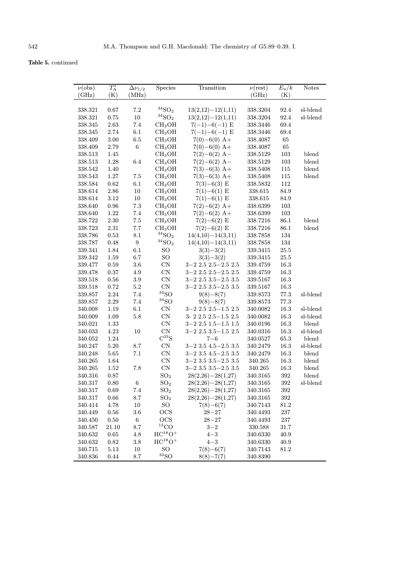Table 5. continued

| $\nu(\text{obs})$ | $T_{\rm A}^*$ | $\Delta\nu_{1/2}$ | Species                        | Transition                      | $\nu$ (rest) | $E_{\rm u}/k$ | <b>Notes</b> |
|-------------------|---------------|-------------------|--------------------------------|---------------------------------|--------------|---------------|--------------|
| (GHz)             | (K)           | (MHz)             |                                |                                 | (GHz)        | (K)           |              |
|                   |               |                   |                                |                                 |              |               |              |
| 338.321           | 0.67          | 7.2               | 34 <sub>SO</sub>               | $13(2,12)-12(1,11)$             | 338.3204     | 92.4          | sl-blend     |
| 338.321           | 0.75          | $10\,$            | $\rm ^{34}SO_2$                | $13(2,12)-12(1,11)$             | 338.3204     | $92.4\,$      | sl-blend     |
| 338.345           | 2.63          | 7.4               | CH <sub>3</sub> OH             | $7(-1)-6(-1)$ E                 | 338.3446     | 69.4          |              |
|                   |               |                   |                                |                                 |              |               |              |
| 338.345           | 2.74          | 6.1               | CH <sub>3</sub> OH             | $7(-1)-6(-1)$ E                 | 338.3446     | 69.4          |              |
| 338.409           | 3.00          | 6.5               | CH <sub>3</sub> OH             | $7(0)-6(0)$ A+                  | 338.4087     | 65            |              |
| 338.409           | 2.79          | 6                 | CH <sub>3</sub> OH             | $7(0)-6(0)$ A+                  | 338.4087     | 65            |              |
| 338.513           | 1.45          |                   | CH <sub>3</sub> OH             | $7(2)-6(2)$ A-                  | 338.5129     | 103           | blend        |
| 338.513           | 1.28          | 6.4               | CH <sub>3</sub> OH             | $7(2)-6(2)$ A-                  | 338.5129     | 103           | blend        |
| 338.542           | 1.40          |                   | CH <sub>3</sub> OH             | $7(3)-6(3)$ A+                  | 338.5408     | 115           | blend        |
| 338.543           | 1.27          | $7.5\,$           | CH <sub>3</sub> OH             | $7(3)-6(3)$ A+                  | 338.5408     | 115           | blend        |
| 338.584           | 0.62          | 6.1               | CH <sub>3</sub> OH             | $7(3)-6(3)$ E                   | 338.5832     | 112           |              |
| 338.614           | 2.86          | 10                | CH <sub>3</sub> OH             | $7(1)-6(1)$ E                   | 338.615      | 84.9          |              |
| 338.614           | 3.12          | 10                | CH <sub>3</sub> OH             | $7(1)-6(1)$ E                   | 338.615      | 84.9          |              |
| 338.640           | $\rm 0.96$    | $7.3\,$           | CH <sub>3</sub> OH             | $7(2)-6(2)$ A+                  | 338.6399     | 103           |              |
| 338.640           | $1.22\,$      | $7.4\,$           | CH <sub>3</sub> OH             | $7(2)-6(2)$ A+                  | 338.6399     | 103           |              |
| 338.722           | $2.30\,$      | 7.5               | CH <sub>3</sub> OH             | $7(2)-6(2)$ E                   | 338.7216     | 86.1          | blend        |
| 338.723           | 2.31          | 7.7               | CH <sub>3</sub> OH             | $7(2)-6(2)$ E                   | 338.7216     | 86.1          | blend        |
| 338.786           | 0.53          | 8.1               | ${}^{34}SO_2$                  | $14(4,10) - 14(3,11)$           | 338.7858     | 134           |              |
| 338.787           | 0.48          | $\boldsymbol{9}$  | $\rm ^{34}SO_2$                | $14(4,10) - 14(3,11)$           | 338.7858     | 134           |              |
| 339.341           | 1.84          | 6.1               | SO                             | $3(3)-3(2)$                     | 339.3415     | 25.5          |              |
| 339.342           | 1.59          | 6.7               | SO                             | $3(3)-3(2)$                     | 339.3415     | 25.5          |              |
| 339.477           | 0.59          | 3.6               | $\mbox{CN}$                    | $3 - 2$ $2.5$ $2.5 - 2.5$ $2.5$ | 339.4759     | 16.3          |              |
| 339.478           | 0.37          | 4.9               | $\mbox{CN}$                    | $3 - 2$ $2.5$ $2.5 - 2.5$ $2.5$ | 339.4759     | 16.3          |              |
| 339.518           | $0.56\,$      | 3.9               | $\mbox{CN}$                    | $3-2$ 2.5 $3.5-2.5$ 3.5         | 339.5167     | 16.3          |              |
| 339.518           | 0.72          | $5.2\,$           | $\mbox{CN}$                    | $3-2$ 2.5 $3.5-2.5$ 3.5         | 339.5167     | 16.3          |              |
| 339.857           | 2.24          | $7.4\,$           | ${}^{34}SO$                    | $9(8)-8(7)$                     | 339.8573     | 77.3          | sl-blend     |
| 339.857           | 2.29          | $7.4\,$           | ${}^{34}SO$                    | $9(8)-8(7)$                     | 339.8573     | $77.3\,$      |              |
| 340.008           | 1.19          | 6.1               | $\rm CN$                       | $3-2$ 2.5 $2.5-1.5$ 2.5         | 340.0082     | 16.3          | sl-blend     |
| 340.009           | 1.09          | 5.8               | CN                             | $3-2$ $2.5$ $2.5-1.5$ $2.5$     | 340.0082     | 16.3          | sl-blend     |
| 340.021           | 1.33          |                   | $\mbox{CN}$                    | $3-2$ 2.5 $1.5-1.5$ 1.5         | 340.0196     | $16.3\,$      | blend        |
| 340.033           | 4.23          | 10                | CN                             | $3-2$ 2.5 $3.5-1.5$ 2.5         | 340.0316     | 16.3          | sl-blend     |
| 340.052           | $1.24\,$      |                   | $C^{33}S$                      | $7 - 6$                         | 340.0527     | 65.3          | blend        |
| 340.247           | 5.20          | 8.7               | $\mbox{CN}$                    | $3 - 2$ 3.5 $4.5 - 2.5$ 3.5     | 340.2479     | 16.3          | sl-blend     |
| 340.248           | 5.65          | 7.1               | $\mbox{CN}$                    | $3-2$ 3.5 $4.5-2.5$ 3.5         | 340.2479     | 16.3          | blend        |
| 340.265           | 1.64          |                   | CN                             | $3-2$ 3.5 $3.5-2.5$ 3.5         | 340.265      | 16.3          | blend        |
| 340.265           | 1.52          | 7.8               | $\mbox{CN}$                    | $3-2$ 3.5 $3.5-2.5$ 3.5         | 340.265      | 16.3          | blend        |
| 340.316           | 0.87          |                   | SO <sub>2</sub>                | $28(2,26)-28(1,27)$             | 340.3165     | 392           | blend        |
| 340.317           | 0.80          | 6                 | SO <sub>2</sub>                | $28(2,26)-28(1,27)$             | 340.3165     | $392\,$       | sl-blend     |
| 340.317           | 0.69          | 7.4               | SO <sub>2</sub>                | $28(2,26)-28(1,27)$             | 340.3165     | 392           |              |
| 340.317           | $0.66\,$      | $8.7\,$           | SO <sub>2</sub>                | $28(2,26)-28(1,27)$             | 340.3165     | $392\,$       |              |
| 340.414           | 4.78          | 10                | SO                             | $7(8)-6(7)$                     | 340.7143     | 81.2          |              |
| 340.449           | $\,0.56$      | $3.6\,$           | OCS                            | $28 - 27$                       | 340.4493     | 237           |              |
| 340.450           | 0.50          | $\,6\,$           | <b>OCS</b>                     | $28 - 27$                       | 340.4493     | 237           |              |
| 340.587           | 21.10         | $8.7\,$           | $^{13}\mathrm{CO}$             | $3 - 2$                         | 330.588      | 31.7          |              |
|                   | $0.65\,$      | $4.8\,$           | $HC^{18}O+$                    | $4 - 3$                         |              | 40.9          |              |
| 340.632           |               |                   | $HC^{18}O+$                    | $4 - 3$                         | 340.6330     |               |              |
| 340.632           | 0.82          | 3.8               |                                |                                 | 340.6330     | 40.9          |              |
| 340.715           | 5.13          | $10\,$            | SO <sub>1</sub><br>${}^{33}SO$ | $7(8)-6(7)$                     | 340.7143     | $81.2\,$      |              |
| 340.836           | 0.44          | $8.7\,$           |                                | $8(8)-7(7)$                     | 340.8390     |               |              |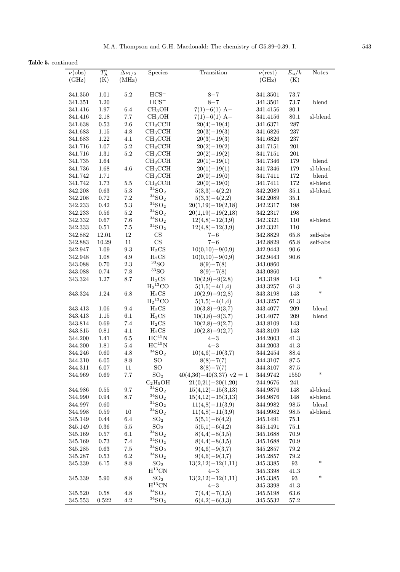Table 5. continued

| maca               |               |                   |                                |                            |              |                   |                           |
|--------------------|---------------|-------------------|--------------------------------|----------------------------|--------------|-------------------|---------------------------|
| $\nu(\text{obs})$  | $T_{\rm A}^*$ | $\Delta\nu_{1/2}$ | Species                        | Transition                 | $\nu$ (rest) | $E_{\rm u}/k$     | <b>Notes</b>              |
| (GHz)              | (K)           | (MHz)             |                                |                            | (GHz)        | (K)               |                           |
|                    |               |                   |                                |                            |              |                   |                           |
| 341.350            | 1.01          | $5.2\,$           | $HCS^+$                        | $8 - 7$                    | 341.3501     | $73.7\,$          |                           |
| 341.351            | $1.20\,$      |                   | $HCS^+$                        | $8 - 7$                    | 341.3501     | $73.7\,$          | blend                     |
| 341.416            | $1.97\,$      | 6.4               | CH <sub>3</sub> OH             | $7(1)-6(1)$ A-             | 341.4156     | 80.1              |                           |
| 341.416            | $2.18\,$      | $7.7\,$           | CH <sub>3</sub> OH             | $7(1)-6(1)$ A-             | 341.4156     | $80.1\,$          | sl-blend                  |
| 341.638            | $\rm 0.53$    | $2.6\,$           | CH <sub>3</sub> CCH            | $20(4)-19(4)$              | 341.6371     | 287               |                           |
| 341.683            | $1.15\,$      | $4.8\,$           | CH <sub>3</sub> CCH            | $20(3)-19(3)$              | 341.6826     | $\bf 237$         |                           |
| 341.683            | $1.22\,$      | $4.1\,$           | CH <sub>3</sub> CCH            | $20(3)-19(3)$              | 341.6826     | 237               |                           |
| 341.716            | $1.07\,$      | $5.2\,$           | CH <sub>3</sub> CCH            | $20(2)-19(2)$              | 341.7151     | 201               |                           |
| 341.716            | $1.31\,$      | $5.2\,$           | CH <sub>3</sub> CCH            | $20(2)-19(2)$              | 341.7151     | 201               |                           |
| 341.735            | 1.64          |                   | CH <sub>3</sub> CCH            | $20(1)-19(1)$              | 341.7346     | 179               | blend                     |
| 341.736            | $1.68\,$      | $4.6\,$           | CH <sub>3</sub> CCH            | $20(1)-19(1)$              | 341.7346     | 179               | sl-blend                  |
| 341.742            | 1.71          |                   | CH <sub>3</sub> CCH            | $20(0)-19(0)$              | 341.7411     | 172               | blend                     |
| 341.742            | 1.73          | $5.5\,$           | CH <sub>3</sub> CCH            | $20(0)-19(0)$              | 341.7411     | 172               | sl-blend                  |
| 342.208            | 0.63          | $5.3\,$           | $\rm ^{34}SO_2$                | $5(3,3)-4(2,2)$            | 342.2089     | $35.1\,$          | sl-blend                  |
| 342.208            | 0.72          | $7.2\,$           | $\rm ^{34}SO_2$                | $5(3,3)-4(2,2)$            | 342.2089     | $35.1\,$          |                           |
| 342.233            | $\rm 0.42$    | $5.3\,$           | $\rm ^{34}SO_2$                | $20(1,19) - 19(2,18)$      | 342.2317     | 198               |                           |
| 342.233            | $0.56\,$      | $5.2\,$           | $\rm ^{34}SO_2$                | $20(1,19) - 19(2,18)$      | 342.2317     | 198               |                           |
| 342.332            | $0.67\,$      | $7.6\,$           | $^{34}{\rm SO}_2$              | $12(4,8)-12(3,9)$          | 342.3321     | 110               | sl-blend                  |
| 342.333            | $0.51\,$      | $7.5\,$           | $\rm ^{34}SO_2$                | $12(4,8)-12(3,9)$          | 342.3321     | 110               |                           |
| 342.882            | 12.01         | $12\,$            | CS                             | $7 - 6$                    | 342.8829     | 65.8              | $\operatorname{self-abs}$ |
| 342.883            | 10.29         | 11                | CS                             | $7 - 6$                    | 342.8829     | 65.8              | self-abs                  |
| 342.947            | 1.09          | $\rm 9.3$         | $H_2CS$                        | $10(0,10)-9(0,9)$          | 342.9443     | $90.6\,$          |                           |
| 342.948            | 1.08          | $4.9\,$           | $H_2CS$                        | $10(0,10)-9(0,9)$          | 342.9443     | 90.6              |                           |
| 343.088            | 0.70          | $2.3\,$           | ${}^{33}SO$                    | $8(9)-7(8)$                | 343.0860     |                   |                           |
| 343.088            | 0.74          | $7.8\,$           | ${}^{33}SO$                    | $8(9)-7(8)$                | 343.0860     |                   |                           |
| 343.324            | 1.27          | 8.7               | $_{\mathrm{H_2CS}}$            | $10(2,9)-9(2,8)$           | 343.3198     | 143               | $\ast$                    |
|                    |               |                   | $\mathrm{H_2}^{13}\mathrm{CO}$ | $5(1,5)-4(1,4)$            | 343.3257     | $61.3\,$          |                           |
| 343.324            | 1.24          | $6.8\,$           | $H_2CS$                        | $10(2,9)-9(2,8)$           | 343.3198     | 143               | $\ast$                    |
|                    |               |                   | $H_2$ <sup>13</sup> CO         | $5(1,5)-4(1,4)$            | 343.3257     | $61.3\,$          |                           |
| 343.413            | $1.06\,$      | 9.4               | $H_2CS$                        | $10(3,8)-9(3,7)$           | 343.4077     | $209\,$           | blend                     |
| 343.413            | $1.15\,$      | $6.1\,$           | $H_2CS$                        | $10(3,8)-9(3,7)$           | 343.4077     | 209               | blend                     |
| 343.814            | 0.69          | $7.4\,$           | $H_2CS$                        | $10(2,8)-9(2,7)$           | 343.8109     | 143               |                           |
| 343.815            | 0.81          | $4.1\,$           | $H_2CS$                        | $10(2,8)-9(2,7)$           | 343.8109     | 143               |                           |
| 344.200            | 1.41          | $6.5\,$           | $\rm{HC^{15}N}$                | $4 - 3$                    | 344.2003     | $41.3\,$          |                           |
| 344.200            | 1.81          | $5.4\,$           | $HC^{15}N$                     | $4 - 3$                    | 344.2003     | 41.3              |                           |
| 344.246            | $0.60\,$      | $4.8\,$           | $^{34}{\rm SO}_2$              | $10(4,6)-10(3,7)$          | 344.2454     | 88.4              |                           |
| 344.310            | 6.05          | $8.8\,$           | SO                             | $8(8)-7(7)$                | 344.3107     | 87.5              |                           |
|                    |               |                   |                                | $8(8)-7(7)$                |              |                   |                           |
| 344.311<br>344.969 | 6.07<br>0.69  | 11<br>$7.7\,$     | SO<br>$\mathrm{SO}_2$          | $40(4,36)-40(3,37)$ v2 = 1 | 344.3107     | 87.5              | $\ast$                    |
|                    |               |                   | $C_2H_5OH$                     | $21(0,21) - 20(1,20)$      | 344.9742     | 1550              |                           |
|                    |               |                   | $34$ SO <sub>2</sub>           |                            | 244.9676     | 241               |                           |
| 344.986            | 0.55          | 9.7               | $\rm ^{34}SO_2$                | $15(4,12) - 15(3,13)$      | 344.9876     | 148               | sl-blend                  |
| 344.990<br>344.997 | $\rm 0.94$    | 8.7               | $^{34}{\rm SO}_2$              | $15(4,12) - 15(3,13)$      | 344.9876     | 148               | sl-blend                  |
|                    | $0.60\,$      |                   | $34$ SO <sub>2</sub>           | $11(4,8)-11(3,9)$          | 344.9982     | 98.5              | blend                     |
| 344.998            | 0.59          | 10                |                                | $11(4,8)-11(3,9)$          | 344.9982     | 98.5              | sl-blend                  |
| 345.149            | 0.44          | 6.4               | SO <sub>2</sub>                | $5(5,1)-6(4,2)$            | 345.1491     | $75.1\,$          |                           |
| 345.149            | $\rm 0.36$    | $5.5\,$           | SO <sub>2</sub>                | $5(5,1)-6(4,2)$            | 345.1491     | $75.1\,$          |                           |
| 345.169            | $0.57\,$      | $6.1\,$           | ${}^{34}SO_2$                  | $8(4,4)-8(3,5)$            | 345.1688     | $70.9\,$          |                           |
| 345.169            | $0.73\,$      | 7.4               | $\rm ^{34}SO_2$                | $8(4,4)-8(3,5)$            | 345.1688     | 70.9              |                           |
| 345.285            | 0.63          | 7.5               | $^{34}{\rm SO}_2$              | $9(4,6)-9(3,7)$            | 345.2857     | 79.2              |                           |
| 345.287            | 0.53          | 6.2               | $^{34}\mathrm{SO}_2$           | $9(4,6)-9(3,7)$            | 345.2857     | 79.2              |                           |
| 345.339            | 6.15          | 8.8               | SO <sub>2</sub>                | $13(2,12)-12(1,11)$        | 345.3385     | 93                | $\ast$                    |
|                    |               |                   | $\rm H^{13}CN$                 | $4 - 3$                    | 345.3398     | 41.3              |                           |
| 345.339            | 5.90          | 8.8               | SO <sub>2</sub>                | $13(2,12)-12(1,11)$        | 345.3385     | $\boldsymbol{93}$ | $\ast$                    |
|                    |               |                   | $\rm H^{13}CN$                 | $4 - 3$                    | 345.3398     | 41.3              |                           |
| 345.520            | 0.58          | $4.8\,$           | $^{34}{\rm SO}_2$              | $7(4,4)-7(3,5)$            | 345.5198     | $63.6\,$          |                           |
| 345.553            | 0.522         | $4.2\,$           | $^{34}{\rm SO}_2$              | $6(4,2)-6(3,3)$            | 345.5532     | $57.2\,$          |                           |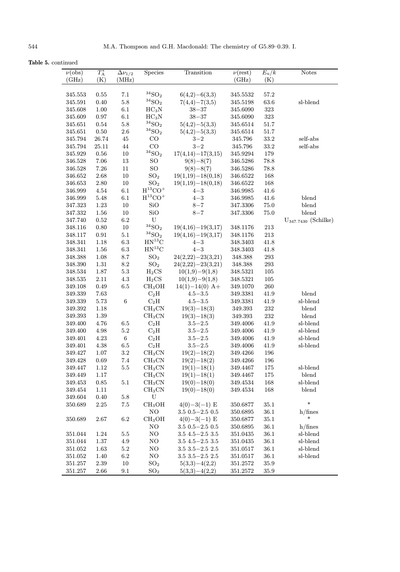Table 5. continued

| $\nu(\text{obs})$ | $T_{\rm A}^*$ | $\Delta\nu_{1/2}$ | Species                           | Transition              | $\overline{\nu(rest)}$ | $E_{\rm u}/k$ | <b>Notes</b>          |
|-------------------|---------------|-------------------|-----------------------------------|-------------------------|------------------------|---------------|-----------------------|
| (GHz)             | (K)           | (MHz)             |                                   |                         | (GHz)                  | (K)           |                       |
|                   |               |                   |                                   |                         |                        |               |                       |
| 345.553           | 0.55          | 7.1               | $^{34}\mathrm{SO}_2$              | $6(4,2)-6(3,3)$         | 345.5532               | 57.2          |                       |
| 345.591           | 0.40          | $5.8\,$           | $\rm ^{34}SO_2$                   | $7(4,4)-7(3,5)$         | 345.5198               | $63.6\,$      | sl-blend              |
| 345.608           | $1.00\,$      | 6.1               | $HC_3N$                           | $38 - 37$               | 345.6090               | 323           |                       |
| 345.609           | 0.97          | 6.1               | $HC_3N$                           | $38 - 37$               | 345.6090               | $323\,$       |                       |
| 345.651           | 0.54          | $5.8\,$           | $^{34}\mathrm{SO}_2$              | $5(4,2)-5(3,3)$         | 345.6514               | 51.7          |                       |
| 345.651           | 0.50          | $2.6\,$           | $34$ SO <sub>2</sub>              | $5(4,2)-5(3,3)$         | 345.6514               | 51.7          |                       |
| 345.794           | 26.74         | 45                | $_{\rm CO}$                       | $3 - 2$                 | 345.796                | 33.2          | self-abs              |
| 345.794           | 25.11         | $44\,$            | CO                                | $3 - 2$                 | 345.796                | 33.2          | self-abs              |
| 345.929           | $0.56\,$      | $10\,$            | $^{34}{\rm SO}_2$                 | $17(4,14) - 17(3,15)$   | 345.9294               | 179           |                       |
| 346.528           | 7.06          | 13                | <b>SO</b>                         | $9(8)-8(7)$             | 346.5286               | 78.8          |                       |
| 346.528           | 7.26          | 11                | SO                                | $9(8)-8(7)$             | 346.5286               | 78.8          |                       |
| 346.652           | $2.68\,$      | 10                | SO <sub>2</sub>                   | $19(1,19) - 18(0,18)$   | 346.6522               | 168           |                       |
| 346.653           | $2.80\,$      | $10\,$            | $\mathrm{SO}_2$                   | $19(1,19) - 18(0,18)$   | 346.6522               | 168           |                       |
| 346.999           | $4.54\,$      | 6.1               | $H^{13}CO+$                       | $4 - 3$                 | 346.9985               | 41.6          |                       |
| 346.999           | $5.48\,$      | 6.1               | $H$ <sup>13</sup> CO <sup>+</sup> | $4 - 3$                 | 346.9985               | 41.6          | blend                 |
| 347.323           | $1.23\,$      | 10                | SiO                               | $8 - 7$                 | 347.3306               | 75.0          | blend                 |
| 347.332           | 1.56          | 10                | SiO                               | $8 - 7$                 | 347.3306               | 75.0          | blend                 |
| 347.740           | $\rm 0.52$    | $6.2\,$           | ${\bf U}$                         |                         |                        |               | $U347.7430$ (Schilke) |
| 348.116           | 0.80          | $10\,$            | $^{34}\mathrm{SO}_2$              | $19(4,16) - 19(3,17)$   | 348.1176               | $213\,$       |                       |
| 348.117           | $\rm 0.91$    | 5.1               | ${}^{34}SO_2$                     | $19(4,16)-19(3,17)$     | 348.1176               | 213           |                       |
| 348.341           | 1.18          | $6.3\,$           | $HN^{13}C$                        | $4 - 3$                 | 348.3403               | 41.8          |                       |
| 348.341           | 1.56          | $6.3\,$           | $HN^{13}C$                        | $4 - 3$                 | 348.3403               | 41.8          |                       |
| 348.388           | 1.08          | $8.7\,$           | SO <sub>2</sub>                   | $24(2,22)-23(3,21)$     | 348.388                | 293           |                       |
| 348.390           | 1.31          | $\ \, 8.2$        | SO <sub>2</sub>                   | $24(2,22)-23(3,21)$     | 348.388                | 293           |                       |
| 348.534           | 1.87          | $5.3\,$           | $H_2CS$                           | $10(1,9)-9(1,8)$        | 348.5321               | 105           |                       |
| 348.535           | $2.11\,$      | $4.3\,$           | $H_2CS$                           | $10(1,9)-9(1,8)$        | 348.5321               | 105           |                       |
| 349.108           | 0.49          | $6.5\,$           | CH <sub>3</sub> OH                | $14(1)-14(0)$ A+        | 349.1070               | $260\,$       |                       |
| 349.339           | 7.63          |                   | $C_2H$                            | $4.5 - 3.5$             | 349.3381               | 41.9          | blend                 |
| 349.339           | $5.73\,$      | $\,6$             | $C_2H$                            | $4.5\!-\!3.5$           | 349.3381               | 41.9          | sl-blend              |
| 349.392           | 1.18          |                   | CH <sub>3</sub> CN                | $19(3)-18(3)$           | 349.393                | 232           | blend                 |
| 349.393           | $1.39\,$      |                   | CH <sub>3</sub> CN                | $19(3)-18(3)$           | 349.393                | 232           | blend                 |
| 349.400           | 4.76          | 6.5               | $C_2H$                            | $3.5 - 2.5$             | 349.4006               | 41.9          | sl-blend              |
| 349.400           | 4.98          | 5.2               | $C_2H$                            | $3.5 - 2.5$             | 349.4006               | 41.9          | sl-blend              |
| 349.401           | 4.23          | $\,6\,$           | $C_2H$                            | $3.5 - 2.5$             | 349.4006               | 41.9          | sl-blend              |
| 349.401           | $4.38\,$      | $6.5\,$           | $C_2H$                            | $3.5 - 2.5$             | 349.4006               | 41.9          | sl-blend              |
| 349.427           | 1.07          | $\!3.2\!$         | CH <sub>3</sub> CN                | $19(2)-18(2)$           | 349.4266               | 196           |                       |
| 349.428           | 0.69          | 7.4               | CH <sub>3</sub> CN                | $19(2)-18(2)$           | 349.4266               | 196           |                       |
| 349.447           | 1.12          | $5.5\,$           | CH <sub>3</sub> CN                | $19(1)-18(1)$           | 349.4467               | 175           | sl-blend              |
| 349.449           | 1.17          |                   | CH <sub>3</sub> CN                | $19(1)-18(1)$           | 349.4467               | 175           | blend                 |
| 349.453           | $0.85\,$      | $5.1\,$           | CH <sub>3</sub> CN                | $19(0)-18(0)$           | 349.4534               | 168           | sl-blend              |
| 349.454           | 1.11          |                   | CH <sub>3</sub> CN                | $19(0)-18(0)$           | 349.4534               | 168           | blend                 |
| 349.604           | 0.40          | $5.8\,$           | U                                 |                         |                        |               |                       |
| 350.689           | 2.25          | $7.5\,$           | CH <sub>3</sub> OH                | $4(0)-3(-1)$ E          | 350.6877               | 35.1          | $\ast$                |
|                   |               |                   | NO                                | $3.5$ $0.5 - 2.5$ $0.5$ | 350.6895               | $36.1\,$      | h/fines               |
| 350.689           | 2.67          | 6.2               | CH <sub>3</sub> OH                | $4(0)-3(-1)$ E          | 350.6877               | 35.1          | $\ast$                |
|                   |               |                   | $_{\rm NO}$                       | $3.5$ 0.5 $-2.5$ 0.5    | 350.6895               | 36.1          | h/fines               |
| 351.044           | 1.24          | $5.5\,$           | NO                                | $3.5$ $4.5 - 2.5$ $3.5$ | 351.0435               | 36.1          | sl-blend              |
| 351.044           | 1.37          | 4.9               | NO                                | $3.5$ 4.5 $-2.5$ 3.5    | 351.0435               | 36.1          | sl-blend              |
| 351.052           | 1.63          | $5.2\,$           | NO                                | $3.5$ $3.5 - 2.5$ $2.5$ | 351.0517               | 36.1          | sl-blend              |
| 351.052           | 1.40          | $6.2\,$           | NO                                | $3.5$ $3.5 - 2.5$ $2.5$ | 351.0517               | 36.1          | sl-blend              |
| 351.257           | 2.39          | $10\,$            | SO <sub>2</sub>                   | $5(3,3)-4(2,2)$         | 351.2572               | 35.9          |                       |
| 351.257           | $2.66\,$      | 9.1               | $\mathrm{SO}_2$                   | $5(3,3)-4(2,2)$         | 351.2572               | 35.9          |                       |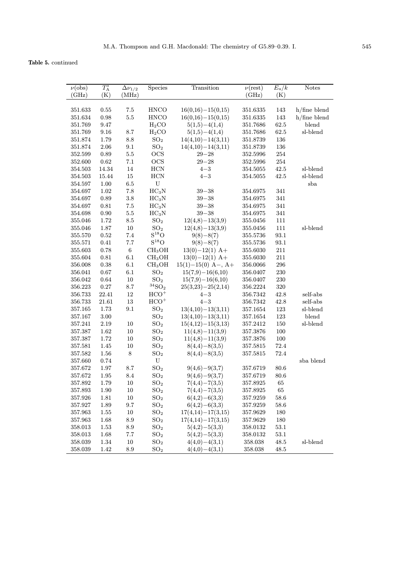Table 5. continued

| $\nu(\text{obs})$ | $T_{\rm A}^*$ | $\Delta\nu_{1/2}$ | Species              | Transition            | $\nu(\text{rest})$ | $E_{\rm u}/k$ | <b>Notes</b>    |
|-------------------|---------------|-------------------|----------------------|-----------------------|--------------------|---------------|-----------------|
| (GHz)             | (K)           | (MHz)             |                      |                       | (GHz)              | (K)           |                 |
|                   |               |                   |                      |                       |                    |               |                 |
| 351.633           | 0.55          | 7.5               | <b>HNCO</b>          | $16(0,16)-15(0,15)$   | 351.6335           | 143           | $h$ /fine blend |
| 351.634           | 0.98          | $5.5\,$           | <b>HNCO</b>          | $16(0,16)-15(0,15)$   | 351.6335           | 143           | $h$ /fine blend |
| 351.769           | 9.47          |                   | H <sub>2</sub> CO    | $5(1,5)-4(1,4)$       | 351.7686           | $62.5\,$      | blend           |
| 351.769           | $9.16\,$      | 8.7               | H <sub>2</sub> CO    | $5(1,5)-4(1,4)$       | 351.7686           | $62.5\,$      | sl-blend        |
| 351.874           | 1.79          | 8.8               | SO <sub>2</sub>      | $14(4,10) - 14(3,11)$ | 351.8739           | 136           |                 |
| 351.874           | $2.06\,$      | 9.1               | SO <sub>2</sub>      | $14(4,10) - 14(3,11)$ | 351.8739           | 136           |                 |
| 352.599           | 0.89          | $5.5\,$           | OCS                  | $29 - 28$             | 352.5996           | 254           |                 |
| 352.600           | $\,0.62\,$    | $7.1\,$           | OCS                  | $29 - 28$             | 352.5996           | $254\,$       |                 |
| 354.503           | 14.34         | $14\,$            | <b>HCN</b>           | $4 - 3$               | 354.5055           | 42.5          | sl-blend        |
| 354.503           | 15.44         | $15\,$            | <b>HCN</b>           | $4 - 3$               | 354.5055           | 42.5          | sl-blend        |
| 354.597           | 1.00          | $6.5\,$           | U                    |                       |                    |               | sba             |
| 354.697           | 1.02          | $7.8\,$           | HC <sub>3</sub> N    | $39 - 38$             | 354.6975           | 341           |                 |
| 354.697           | 0.89          | $3.8\,$           | $HC_3N$              | $39 - 38$             | 354.6975           | 341           |                 |
| 354.697           | $\rm 0.81$    | $7.5\,$           | $HC_3N$              | $39 - 38$             | 354.6975           | 341           |                 |
| 354.698           | $0.90\,$      | $5.5\,$           | $HC_3N$              | $39 - 38$             | 354.6975           | 341           |                 |
| 355.046           | 1.72          | $\!\!\!\!\!8.5$   | SO <sub>2</sub>      | $12(4,8)-13(3,9)$     | 355.0456           | $111\,$       |                 |
| 355.046           | 1.87          | 10                | SO <sub>2</sub>      | $12(4,8)-13(3,9)$     | 355.0456           | 111           | sl-blend        |
| 355.570           | 0.52          | 7.4               | $S^{18}O$            | $9(8)-8(7)$           | 355.5736           | 93.1          |                 |
| 355.571           | 0.41          | 7.7               | $S^{18}O$            | $9(8)-8(7)$           | 355.5736           | 93.1          |                 |
| 355.603           | 0.78          | $\,6\,$           | CH <sub>3</sub> OH   | $13(0)-12(1)$ A+      | 355.6030           | 211           |                 |
| 355.604           | 0.81          | $6.1\,$           | CH <sub>3</sub> OH   | $13(0)-12(1)$ A+      | 355.6030           | 211           |                 |
| 356.008           | 0.38          | 6.1               | CH <sub>3</sub> OH   | $15(1)-15(0)$ A-, A+  | 356.0066           | 296           |                 |
| 356.041           | $0.67\,$      | 6.1               | SO <sub>2</sub>      | $15(7,9)-16(6,10)$    | 356.0407           | 230           |                 |
| 356.042           | 0.64          | $10\,$            | SO <sub>2</sub>      | $15(7,9)-16(6,10)$    | 356.0407           | 230           |                 |
| 356.223           | 0.27          | $8.7\,$           | $^{34}\mathrm{SO}_2$ | $25(3,23)-25(2,14)$   | 356.2224           | 320           |                 |
| 356.733           | 22.41         | $12\,$            | $HCO+$               | $4 - 3$               | 356.7342           | 42.8          | self-abs        |
| 356.733           | 21.61         | 13                | $HCO+$               | $4 - 3$               | 356.7342           | 42.8          | self-abs        |
| 357.165           | 1.73          | 9.1               | SO <sub>2</sub>      | $13(4,10) - 13(3,11)$ | 357.1654           | 123           | sl-blend        |
| 357.167           | $3.00\,$      |                   | SO <sub>2</sub>      | $13(4,10) - 13(3,11)$ | 357.1654           | $123\,$       | blend           |
| 357.241           | $2.19\,$      | $10\,$            | SO <sub>2</sub>      | $15(4,12)-15(3,13)$   | 357.2412           | 150           | sl-blend        |
| 357.387           | 1.62          | $10\,$            | SO <sub>2</sub>      | $11(4,8)-11(3,9)$     | 357.3876           | 100           |                 |
| 357.387           | 1.72          | 10                | SO <sub>2</sub>      | $11(4,8)-11(3,9)$     | 357.3876           | 100           |                 |
| 357.581           | 1.45          | 10                | $\mathrm{SO}_2$      | $8(4,4)-8(3,5)$       | 357.5815           | 72.4          |                 |
| 357.582           | 1.56          | $\,8\,$           | SO <sub>2</sub>      | $8(4,4)-8(3,5)$       | 357.5815           | 72.4          |                 |
| 357.660           | 0.74          |                   | ${\bf U}$            |                       |                    |               | sba blend       |
| 357.672           | 1.97          | 8.7               | SO <sub>2</sub>      | $9(4,6)-9(3,7)$       | 357.6719           | $80.6\,$      |                 |
| 357.672           | 1.95          | 8.4               | SO <sub>2</sub>      | $9(4,6)-9(3,7)$       | 357.6719           | 80.6          |                 |
| $357.892\,$       | 1.79          | $10\,$            | SO <sub>2</sub>      | $7(4,4)-7(3,5)$       | $357.8925\,$       | 65            |                 |
| 357.893           | 1.90          | 10                | SO <sub>2</sub>      | $7(4,4)-7(3,5)$       | 357.8925           | 65            |                 |
| 357.926           | 1.81          | 10                | SO <sub>2</sub>      | $6(4,2)-6(3,3)$       | 357.9259           | $58.6\,$      |                 |
| 357.927           | 1.89          | 9.7               | SO <sub>2</sub>      | $6(4,2)-6(3,3)$       | 357.9259           | 58.6          |                 |
| 357.963           | 1.55          | 10                | SO <sub>2</sub>      | $17(4,14) - 17(3,15)$ | 357.9629           | 180           |                 |
| 357.963           | 1.68          | 8.9               | SO <sub>2</sub>      | $17(4,14) - 17(3,15)$ | 357.9629           | 180           |                 |
| 358.013           | 1.53          | 8.9               | SO <sub>2</sub>      | $5(4,2)-5(3,3)$       | 358.0132           | 53.1          |                 |
| 358.013           | 1.68          | 7.7               | SO <sub>2</sub>      | $5(4,2)-5(3,3)$       | 358.0132           | 53.1          |                 |
| 358.039           | 1.34          | 10                | SO <sub>2</sub>      | $4(4,0)-4(3,1)$       | 358.038            | 48.5          | sl-blend        |
| 358.039           | 1.42          | 8.9               | SO <sub>2</sub>      | $4(4,0)-4(3,1)$       | 358.038            | 48.5          |                 |